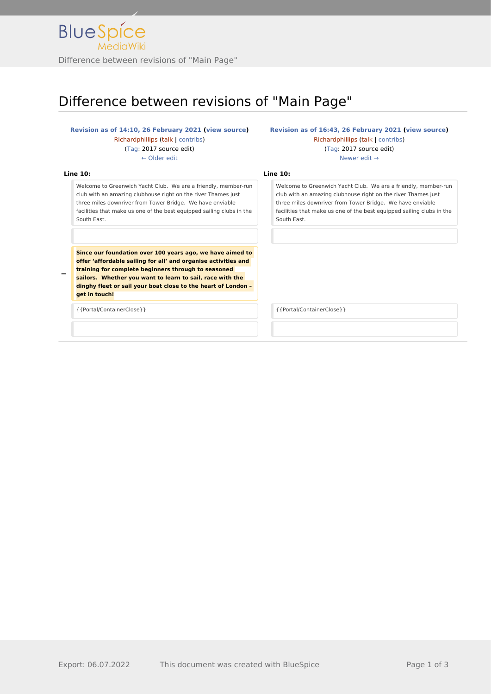

## Difference between revisions of "Main Page"

## **[Revision as of 14:10, 26 February 2021](http://www.greenwichyachtclub.co.uk/w/index.php?title=Main_Page&oldid=358) [\(view source](http://www.greenwichyachtclub.co.uk/w/index.php?title=Main_Page&action=edit&oldid=358))** [Richardphillips](http://www.greenwichyachtclub.co.uk/w/index.php?title=User:Richardphillips&action=view) [\(talk](http://www.greenwichyachtclub.co.uk/w/index.php?title=User_talk:Richardphillips&action=view) | [contribs\)](http://www.greenwichyachtclub.co.uk/wiki/Special:Contributions/Richardphillips) [\(Tag](http://www.greenwichyachtclub.co.uk/wiki/Special:Tags): 2017 source edit) [← Older edit](http://www.greenwichyachtclub.co.uk/w/index.php?title=Main_Page&diff=prev&oldid=358) **[Revision as of 16:43, 26 February 2021](http://www.greenwichyachtclub.co.uk/w/index.php?title=Main_Page&oldid=366) [\(view source\)](http://www.greenwichyachtclub.co.uk/w/index.php?title=Main_Page&action=edit&oldid=366)** [Richardphillips](http://www.greenwichyachtclub.co.uk/w/index.php?title=User:Richardphillips&action=view) ([talk](http://www.greenwichyachtclub.co.uk/w/index.php?title=User_talk:Richardphillips&action=view) | [contribs](http://www.greenwichyachtclub.co.uk/wiki/Special:Contributions/Richardphillips)) [\(Tag:](http://www.greenwichyachtclub.co.uk/wiki/Special:Tags) 2017 source edit) [Newer edit →](http://www.greenwichyachtclub.co.uk/w/index.php?title=Main_Page&diff=next&oldid=366) **Line 10: Line 10:** Welcome to Greenwich Yacht Club. We are a friendly, member-run club with an amazing clubhouse right on the river Thames just three miles downriver from Tower Bridge. We have enviable facilities that make us one of the best equipped sailing clubs in the South East. Welcome to Greenwich Yacht Club. We are a friendly, member-run club with an amazing clubhouse right on the river Thames just three miles downriver from Tower Bridge. We have enviable facilities that make us one of the best equipped sailing clubs in the South East. **− Since our foundation over 100 years ago, we have aimed to offer 'affordable sailing for all' and organise activities and training for complete beginners through to seasoned sailors. Whether you want to learn to sail, race with the dinghy fleet or sail your boat close to the heart of London – get in touch!** {{Portal/ContainerClose}} {{Portal/ContainerClose}}

Export: 06.07.2022 This document was created with BlueSpice Page 1 of 3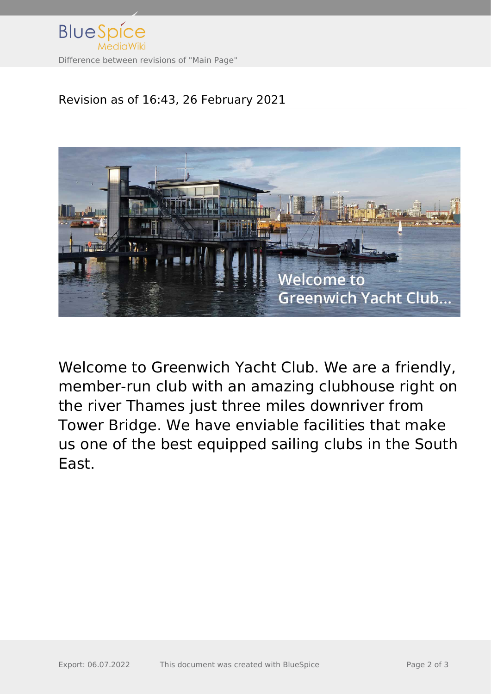

## Revision as of 16:43, 26 February 2021



Welcome to Greenwich Yacht Club. We are a friendly, member-run club with an amazing clubhouse right on the river Thames just three miles downriver from Tower Bridge. We have enviable facilities that make us one of the best equipped sailing clubs in the South East.